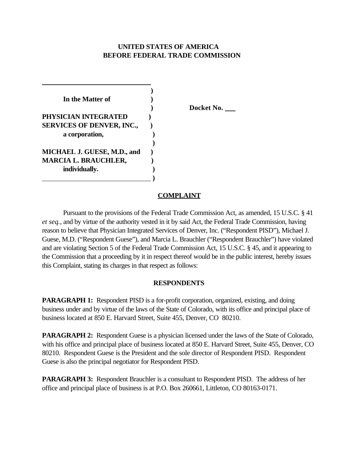# **UNITED STATES OF AMERICA BEFORE FEDERAL TRADE COMMISSION**

| In the Matter of                 |  |
|----------------------------------|--|
|                                  |  |
| PHYSICIAN INTEGRATED             |  |
| <b>SERVICES OF DENVER, INC.,</b> |  |
| a corporation,                   |  |
|                                  |  |
| MICHAEL J. GUESE, M.D., and      |  |
| <b>MARCIA L. BRAUCHLER,</b>      |  |
| individually.                    |  |
|                                  |  |

 **) Docket No.** 

### **COMPLAINT**

Pursuant to the provisions of the Federal Trade Commission Act, as amended, 15 U.S.C. § 41 *et seq.*, and by virtue of the authority vested in it by said Act, the Federal Trade Commission, having reason to believe that Physician Integrated Services of Denver, Inc. ("Respondent PISD"), Michael J. Guese, M.D. ("Respondent Guese"), and Marcia L. Brauchler ("Respondent Brauchler") have violated and are violating Section 5 of the Federal Trade Commission Act, 15 U.S.C. § 45, and it appearing to the Commission that a proceeding by it in respect thereof would be in the public interest, hereby issues this Complaint, stating its charges in that respect as follows:

#### **RESPONDENTS**

**PARAGRAPH 1:** Respondent PISD is a for-profit corporation, organized, existing, and doing business under and by virtue of the laws of the State of Colorado, with its office and principal place of business located at 850 E. Harvard Street, Suite 455, Denver, CO 80210.

**PARAGRAPH 2:** Respondent Guese is a physician licensed under the laws of the State of Colorado, with his office and principal place of business located at 850 E. Harvard Street, Suite 455, Denver, CO 80210. Respondent Guese is the President and the sole director of Respondent PISD. Respondent Guese is also the principal negotiator for Respondent PISD.

**PARAGRAPH 3:** Respondent Brauchler is a consultant to Respondent PISD. The address of her office and principal place of business is at P.O. Box 260661, Littleton, CO 80163-0171.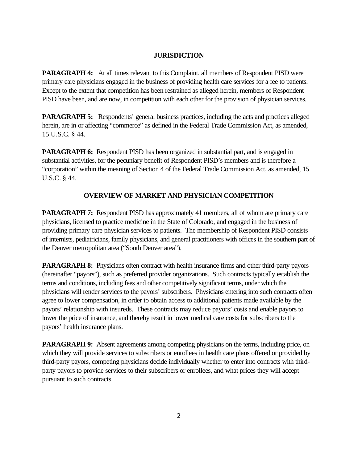#### **JURISDICTION**

**PARAGRAPH 4:** At all times relevant to this Complaint, all members of Respondent PISD were primary care physicians engaged in the business of providing health care services for a fee to patients. Except to the extent that competition has been restrained as alleged herein, members of Respondent PISD have been, and are now, in competition with each other for the provision of physician services.

**PARAGRAPH 5:** Respondents' general business practices, including the acts and practices alleged herein, are in or affecting "commerce" as defined in the Federal Trade Commission Act, as amended, 15 U.S.C. § 44.

**PARAGRAPH 6:** Respondent PISD has been organized in substantial part, and is engaged in substantial activities, for the pecuniary benefit of Respondent PISD's members and is therefore a "corporation" within the meaning of Section 4 of the Federal Trade Commission Act, as amended, 15 U.S.C. § 44.

## **OVERVIEW OF MARKET AND PHYSICIAN COMPETITION**

**PARAGRAPH 7:** Respondent PISD has approximately 41 members, all of whom are primary care physicians, licensed to practice medicine in the State of Colorado, and engaged in the business of providing primary care physician services to patients. The membership of Respondent PISD consists of internists, pediatricians, family physicians, and general practitioners with offices in the southern part of the Denver metropolitan area ("South Denver area").

**PARAGRAPH 8:** Physicians often contract with health insurance firms and other third-party payors (hereinafter "payors"), such as preferred provider organizations. Such contracts typically establish the terms and conditions, including fees and other competitively significant terms, under which the physicians will render services to the payors' subscribers. Physicians entering into such contracts often agree to lower compensation, in order to obtain access to additional patients made available by the payors' relationship with insureds. These contracts may reduce payors' costs and enable payors to lower the price of insurance, and thereby result in lower medical care costs for subscribers to the payors' health insurance plans.

**PARAGRAPH 9:** Absent agreements among competing physicians on the terms, including price, on which they will provide services to subscribers or enrollees in health care plans offered or provided by third-party payors, competing physicians decide individually whether to enter into contracts with thirdparty payors to provide services to their subscribers or enrollees, and what prices they will accept pursuant to such contracts.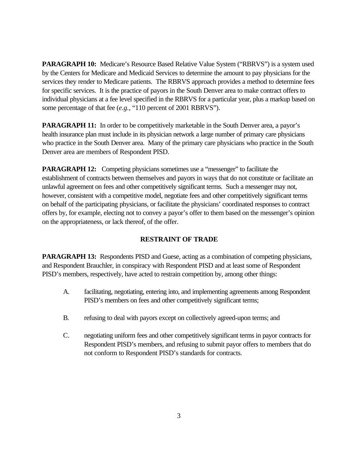**PARAGRAPH 10:** Medicare's Resource Based Relative Value System ("RBRVS") is a system used by the Centers for Medicare and Medicaid Services to determine the amount to pay physicians for the services they render to Medicare patients. The RBRVS approach provides a method to determine fees for specific services. It is the practice of payors in the South Denver area to make contract offers to individual physicians at a fee level specified in the RBRVS for a particular year, plus a markup based on some percentage of that fee (*e.g.*, "110 percent of 2001 RBRVS").

**PARAGRAPH 11:** In order to be competitively marketable in the South Denver area, a payor's health insurance plan must include in its physician network a large number of primary care physicians who practice in the South Denver area. Many of the primary care physicians who practice in the South Denver area are members of Respondent PISD.

**PARAGRAPH 12:** Competing physicians sometimes use a "messenger" to facilitate the establishment of contracts between themselves and payors in ways that do not constitute or facilitate an unlawful agreement on fees and other competitively significant terms. Such a messenger may not, however, consistent with a competitive model, negotiate fees and other competitively significant terms on behalf of the participating physicians, or facilitate the physicians' coordinated responses to contract offers by, for example, electing not to convey a payor's offer to them based on the messenger's opinion on the appropriateness, or lack thereof, of the offer.

# **RESTRAINT OF TRADE**

**PARAGRAPH 13:** Respondents PISD and Guese, acting as a combination of competing physicians, and Respondent Brauchler, in conspiracy with Respondent PISD and at least some of Respondent PISD's members, respectively, have acted to restrain competition by, among other things:

- A. facilitating, negotiating, entering into, and implementing agreements among Respondent PISD's members on fees and other competitively significant terms;
- B. refusing to deal with payors except on collectively agreed-upon terms; and
- C. negotiating uniform fees and other competitively significant terms in payor contracts for Respondent PISD's members, and refusing to submit payor offers to members that do not conform to Respondent PISD's standards for contracts.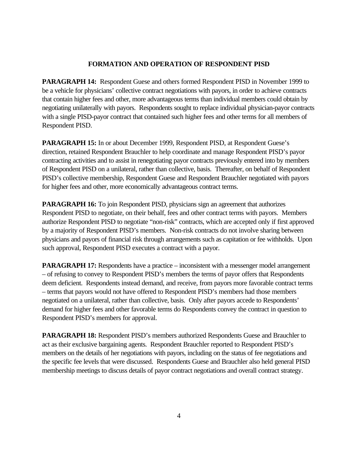### **FORMATION AND OPERATION OF RESPONDENT PISD**

**PARAGRAPH 14:** Respondent Guese and others formed Respondent PISD in November 1999 to be a vehicle for physicians' collective contract negotiations with payors, in order to achieve contracts that contain higher fees and other, more advantageous terms than individual members could obtain by negotiating unilaterally with payors. Respondents sought to replace individual physician-payor contracts with a single PISD-payor contract that contained such higher fees and other terms for all members of Respondent PISD.

**PARAGRAPH 15:** In or about December 1999, Respondent PISD, at Respondent Guese's direction, retained Respondent Brauchler to help coordinate and manage Respondent PISD's payor contracting activities and to assist in renegotiating payor contracts previously entered into by members of Respondent PISD on a unilateral, rather than collective, basis. Thereafter, on behalf of Respondent PISD's collective membership, Respondent Guese and Respondent Brauchler negotiated with payors for higher fees and other, more economically advantageous contract terms.

**PARAGRAPH 16:** To join Respondent PISD, physicians sign an agreement that authorizes Respondent PISD to negotiate, on their behalf, fees and other contract terms with payors. Members authorize Respondent PISD to negotiate "non-risk" contracts, which are accepted only if first approved by a majority of Respondent PISD's members. Non-risk contracts do not involve sharing between physicians and payors of financial risk through arrangements such as capitation or fee withholds. Upon such approval, Respondent PISD executes a contract with a payor.

**PARAGRAPH 17:** Respondents have a practice – inconsistent with a messenger model arrangement – of refusing to convey to Respondent PISD's members the terms of payor offers that Respondents deem deficient. Respondents instead demand, and receive, from payors more favorable contract terms – terms that payors would not have offered to Respondent PISD's members had those members negotiated on a unilateral, rather than collective, basis. Only after payors accede to Respondents' demand for higher fees and other favorable terms do Respondents convey the contract in question to Respondent PISD's members for approval.

**PARAGRAPH 18:** Respondent PISD's members authorized Respondents Guese and Brauchler to act as their exclusive bargaining agents. Respondent Brauchler reported to Respondent PISD's members on the details of her negotiations with payors, including on the status of fee negotiations and the specific fee levels that were discussed. Respondents Guese and Brauchler also held general PISD membership meetings to discuss details of payor contract negotiations and overall contract strategy.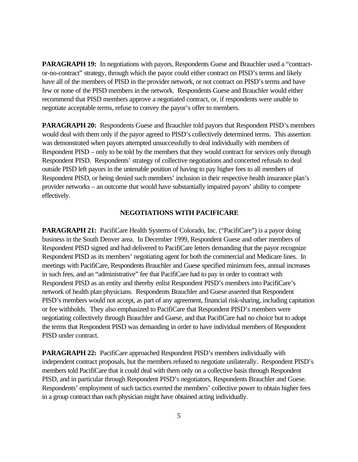**PARAGRAPH 19:** In negotiations with payors, Respondents Guese and Brauchler used a "contractor-no-contract" strategy, through which the payor could either contract on PISD's terms and likely have all of the members of PISD in the provider network, or not contract on PISD's terms and have few or none of the PISD members in the network. Respondents Guese and Brauchler would either recommend that PISD members approve a negotiated contract, or, if respondents were unable to negotiate acceptable terms, refuse to convey the payor's offer to members.

**PARAGRAPH 20:** Respondents Guese and Brauchler told payors that Respondent PISD's members would deal with them only if the payor agreed to PISD's collectively determined terms. This assertion was demonstrated when payors attempted unsuccessfully to deal individually with members of Respondent PISD – only to be told by the members that they would contract for services only through Respondent PISD. Respondents' strategy of collective negotiations and concerted refusals to deal outside PISD left payors in the untenable position of having to pay higher fees to all members of Respondent PISD, or being denied such members' inclusion in their respective health insurance plan's provider networks – an outcome that would have substantially impaired payors' ability to compete effectively.

#### **NEGOTIATIONS WITH PACIFICARE**

**PARAGRAPH 21:** PacifiCare Health Systems of Colorado, Inc. ("PacifiCare") is a payor doing business in the South Denver area. In December 1999, Respondent Guese and other members of Respondent PISD signed and had delivered to PacifiCare letters demanding that the payor recognize Respondent PISD as its members' negotiating agent for both the commercial and Medicare lines. In meetings with PacifiCare, Respondents Brauchler and Guese specified minimum fees, annual increases in such fees, and an "administrative" fee that PacifiCare had to pay in order to contract with Respondent PISD as an entity and thereby enlist Respondent PISD's members into PacifiCare's network of health plan physicians. Respondents Brauchler and Guese asserted that Respondent PISD's members would not accept, as part of any agreement, financial risk-sharing, including capitation or fee withholds. They also emphasized to PacifiCare that Respondent PISD's members were negotiating collectively through Brauchler and Guese, and that PacifiCare had no choice but to adopt the terms that Respondent PISD was demanding in order to have individual members of Respondent PISD under contract.

**PARAGRAPH 22:** PacifiCare approached Respondent PISD's members individually with independent contract proposals, but the members refused to negotiate unilaterally. Respondent PISD's members told PacifiCare that it could deal with them only on a collective basis through Respondent PISD, and in particular through Respondent PISD's negotiators, Respondents Brauchler and Guese. Respondents' employment of such tactics exerted the members' collective power to obtain higher fees in a group contract than each physician might have obtained acting individually.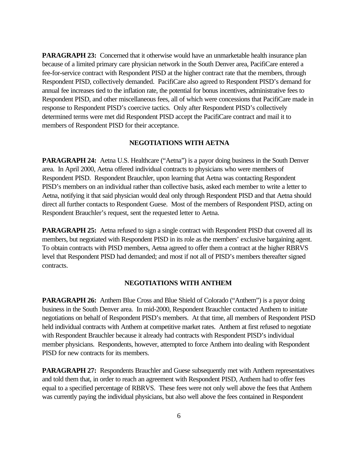**PARAGRAPH 23:** Concerned that it otherwise would have an unmarketable health insurance plan because of a limited primary care physician network in the South Denver area, PacifiCare entered a fee-for-service contract with Respondent PISD at the higher contract rate that the members, through Respondent PISD, collectively demanded. PacifiCare also agreed to Respondent PISD's demand for annual fee increases tied to the inflation rate, the potential for bonus incentives, administrative fees to Respondent PISD, and other miscellaneous fees, all of which were concessions that PacifiCare made in response to Respondent PISD's coercive tactics. Only after Respondent PISD's collectively determined terms were met did Respondent PISD accept the PacifiCare contract and mail it to members of Respondent PISD for their acceptance.

#### **NEGOTIATIONS WITH AETNA**

**PARAGRAPH 24:** Aetna U.S. Healthcare ("Aetna") is a payor doing business in the South Denver area. In April 2000, Aetna offered individual contracts to physicians who were members of Respondent PISD. Respondent Brauchler, upon learning that Aetna was contacting Respondent PISD's members on an individual rather than collective basis, asked each member to write a letter to Aetna, notifying it that said physician would deal only through Respondent PISD and that Aetna should direct all further contacts to Respondent Guese. Most of the members of Respondent PISD, acting on Respondent Brauchler's request, sent the requested letter to Aetna.

**PARAGRAPH 25:** Aetna refused to sign a single contract with Respondent PISD that covered all its members, but negotiated with Respondent PISD in its role as the members' exclusive bargaining agent. To obtain contracts with PISD members, Aetna agreed to offer them a contract at the higher RBRVS level that Respondent PISD had demanded; and most if not all of PISD's members thereafter signed contracts.

## **NEGOTIATIONS WITH ANTHEM**

**PARAGRAPH 26:** Anthem Blue Cross and Blue Shield of Colorado ("Anthem") is a payor doing business in the South Denver area. In mid-2000, Respondent Brauchler contacted Anthem to initiate negotiations on behalf of Respondent PISD's members. At that time, all members of Respondent PISD held individual contracts with Anthem at competitive market rates. Anthem at first refused to negotiate with Respondent Brauchler because it already had contracts with Respondent PISD's individual member physicians. Respondents, however, attempted to force Anthem into dealing with Respondent PISD for new contracts for its members.

**PARAGRAPH 27:** Respondents Brauchler and Guese subsequently met with Anthem representatives and told them that, in order to reach an agreement with Respondent PISD, Anthem had to offer fees equal to a specified percentage of RBRVS. These fees were not only well above the fees that Anthem was currently paying the individual physicians, but also well above the fees contained in Respondent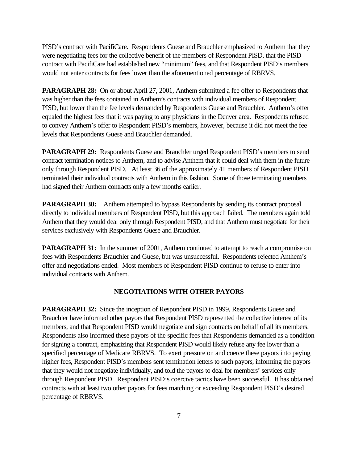PISD's contract with PacifiCare. Respondents Guese and Brauchler emphasized to Anthem that they were negotiating fees for the collective benefit of the members of Respondent PISD, that the PISD contract with PacifiCare had established new "minimum" fees, and that Respondent PISD's members would not enter contracts for fees lower than the aforementioned percentage of RBRVS.

**PARAGRAPH 28:** On or about April 27, 2001, Anthem submitted a fee offer to Respondents that was higher than the fees contained in Anthem's contracts with individual members of Respondent PISD, but lower than the fee levels demanded by Respondents Guese and Brauchler. Anthem's offer equaled the highest fees that it was paying to any physicians in the Denver area. Respondents refused to convey Anthem's offer to Respondent PISD's members, however, because it did not meet the fee levels that Respondents Guese and Brauchler demanded.

**PARAGRAPH 29:** Respondents Guese and Brauchler urged Respondent PISD's members to send contract termination notices to Anthem, and to advise Anthem that it could deal with them in the future only through Respondent PISD. At least 36 of the approximately 41 members of Respondent PISD terminated their individual contracts with Anthem in this fashion. Some of those terminating members had signed their Anthem contracts only a few months earlier.

**PARAGRAPH 30:** Anthem attempted to bypass Respondents by sending its contract proposal directly to individual members of Respondent PISD, but this approach failed. The members again told Anthem that they would deal only through Respondent PISD, and that Anthem must negotiate for their services exclusively with Respondents Guese and Brauchler.

**PARAGRAPH 31:** In the summer of 2001, Anthem continued to attempt to reach a compromise on fees with Respondents Brauchler and Guese, but was unsuccessful. Respondents rejected Anthem's offer and negotiations ended. Most members of Respondent PISD continue to refuse to enter into individual contracts with Anthem.

### **NEGOTIATIONS WITH OTHER PAYORS**

**PARAGRAPH 32:** Since the inception of Respondent PISD in 1999, Respondents Guese and Brauchler have informed other payors that Respondent PISD represented the collective interest of its members, and that Respondent PISD would negotiate and sign contracts on behalf of all its members. Respondents also informed these payors of the specific fees that Respondents demanded as a condition for signing a contract, emphasizing that Respondent PISD would likely refuse any fee lower than a specified percentage of Medicare RBRVS. To exert pressure on and coerce these payors into paying higher fees, Respondent PISD's members sent termination letters to such payors, informing the payors that they would not negotiate individually, and told the payors to deal for members' services only through Respondent PISD. Respondent PISD's coercive tactics have been successful. It has obtained contracts with at least two other payors for fees matching or exceeding Respondent PISD's desired percentage of RBRVS.